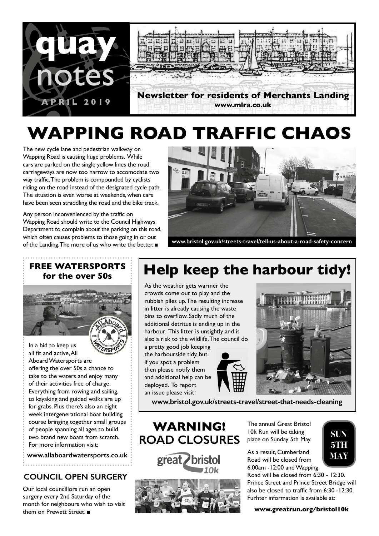

# **WAPPING ROAD TRAFFIC CHAOS**

The new cycle lane and pedestrian walkway on Wapping Road is causing huge problems. While cars are parked on the single yellow lines the road carriageways are now too narrow to accomodate two way traffic. The problem is compounded by cyclists riding on the road instead of the designated cycle path. The situation is even worse at weekends, when cars have been seen straddling the road and the bike track.

Any person inconvenienced by the traffic on Wapping Road should write to the Council Highways Department to complain about the parking on this road, which often causes problems to those going in or out of the Landing. The more of us who write the better. ■



**www.bristol.gov.uk/streets-travel/tell-us-about-a-road-safety-concern**

### **FREE WATERSPORTS for the over 50s**

ŗ



all fit and active, All Aboard Watersports are offering the over 50s a chance to take to the waters and enjoy many of their activities free of charge. Everything from rowing and sailing, to kayaking and guided walks are up for grabs. Plus there's also an eight week intergenerational boat building course bringing together small groups of people spanning all ages to build two brand new boats from scratch. For more information visit:

**www.allaboardwatersports.co.uk**

### **COUNCIL OPEN SURGERY**

Our local councillors run an open surgery every 2nd Saturday of the month for neighbours who wish to visit them on Prewett Street. ■

## **Help keep the harbour tidy!**

As the weather gets warmer the crowds come out to play and the rubbish piles up. The resulting increase in litter is already causing the waste bins to overflow. Sadly much of the additional detritus is ending up in the harbour. This litter is unsightly and is also a risk to the wildlife. The council do

a pretty good job keeping the harbourside tidy, but if you spot a problem then please notify them and additional help can be deployed. To report an issue please visit:



**www.bristol.gov.uk/streets-travel/street-that-needs-cleaning**

**WARNING! ROAD CLOSURES**

great bristol



The annual Great Bristol 10k Run will be taking place on Sunday 5th May.

As a result, Cumberland Road will be closed from 6:00am -12:00 and Wapping

Road will be closed from 6:30 - 12:30. Prince Street and Prince Street Bridge will also be closed to traffic from 6:30 -12:30. Furhter information is available at:

**SUN 5TH MAY**

#### **www.greatrun.org/bristol10k**